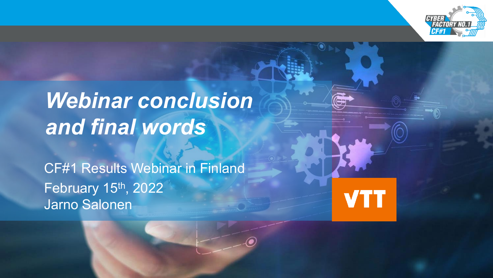

# *Webinar conclusion and final words*

CF#1 Results Webinar in Finland February 15<sup>th</sup>, 2022 Jarno Salonen

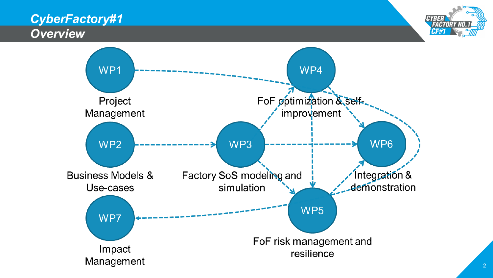#### *CyberFactory#1 Overview*



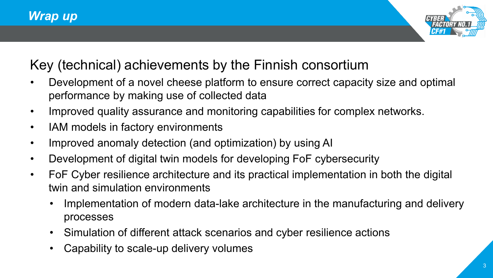

### Key (technical) achievements by the Finnish consortium

- Development of a novel cheese platform to ensure correct capacity size and optimal performance by making use of collected data
- Improved quality assurance and monitoring capabilities for complex networks.
- IAM models in factory environments
- Improved anomaly detection (and optimization) by using AI
- Development of digital twin models for developing FoF cybersecurity
- FoF Cyber resilience architecture and its practical implementation in both the digital twin and simulation environments
	- Implementation of modern data-lake architecture in the manufacturing and delivery processes
	- Simulation of different attack scenarios and cyber resilience actions
	- Capability to scale-up delivery volumes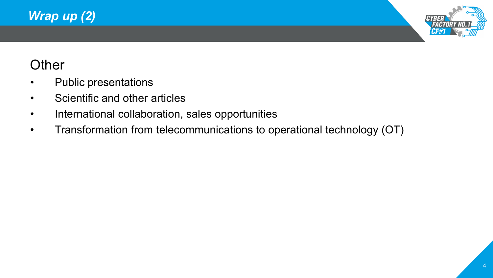



## **Other**

- Public presentations
- Scientific and other articles
- International collaboration, sales opportunities
- Transformation from telecommunications to operational technology (OT)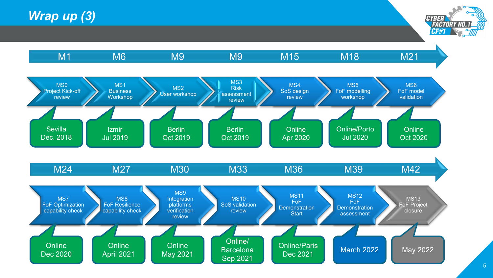